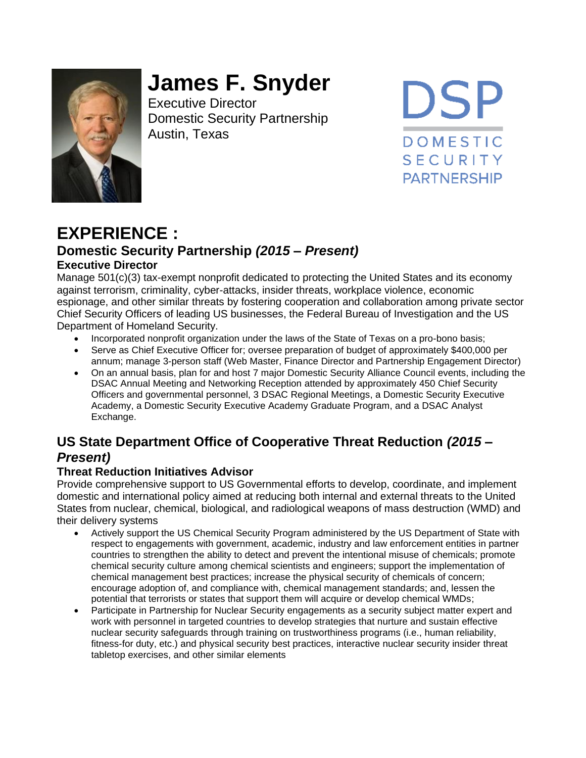

# **James F. Snyder**

Executive Director Domestic Security Partnership Austin, Texas

**DSP DOMESTIC SECURITY PARTNERSHIP** 

# **EXPERIENCE : Domestic Security Partnership** *(2015 – Present)* **Executive Director**

Manage 501(c)(3) tax-exempt nonprofit dedicated to protecting the United States and its economy against terrorism, criminality, cyber-attacks, insider threats, workplace violence, economic espionage, and other similar threats by fostering cooperation and collaboration among private sector Chief Security Officers of leading US businesses, the Federal Bureau of Investigation and the US Department of Homeland Security.

- Incorporated nonprofit organization under the laws of the State of Texas on a pro-bono basis;
- Serve as Chief Executive Officer for; oversee preparation of budget of approximately \$400,000 per annum; manage 3-person staff (Web Master, Finance Director and Partnership Engagement Director)
- On an annual basis, plan for and host 7 major Domestic Security Alliance Council events, including the DSAC Annual Meeting and Networking Reception attended by approximately 450 Chief Security Officers and governmental personnel, 3 DSAC Regional Meetings, a Domestic Security Executive Academy, a Domestic Security Executive Academy Graduate Program, and a DSAC Analyst Exchange.

# **US State Department Office of Cooperative Threat Reduction** *(2015 – Present)*

#### **Threat Reduction Initiatives Advisor**

Provide comprehensive support to US Governmental efforts to develop, coordinate, and implement domestic and international policy aimed at reducing both internal and external threats to the United States from nuclear, chemical, biological, and radiological weapons of mass destruction (WMD) and their delivery systems

- Actively support the US Chemical Security Program administered by the US Department of State with respect to engagements with government, academic, industry and law enforcement entities in partner countries to strengthen the ability to detect and prevent the intentional misuse of chemicals; promote chemical security culture among chemical scientists and engineers; support the implementation of chemical management best practices; increase the physical security of chemicals of concern; encourage adoption of, and compliance with, chemical management standards; and, lessen the potential that terrorists or states that support them will acquire or develop chemical WMDs;
- Participate in Partnership for Nuclear Security engagements as a security subject matter expert and work with personnel in targeted countries to develop strategies that nurture and sustain effective nuclear security safeguards through training on trustworthiness programs (i.e., human reliability, fitness-for duty, etc.) and physical security best practices, interactive nuclear security insider threat tabletop exercises, and other similar elements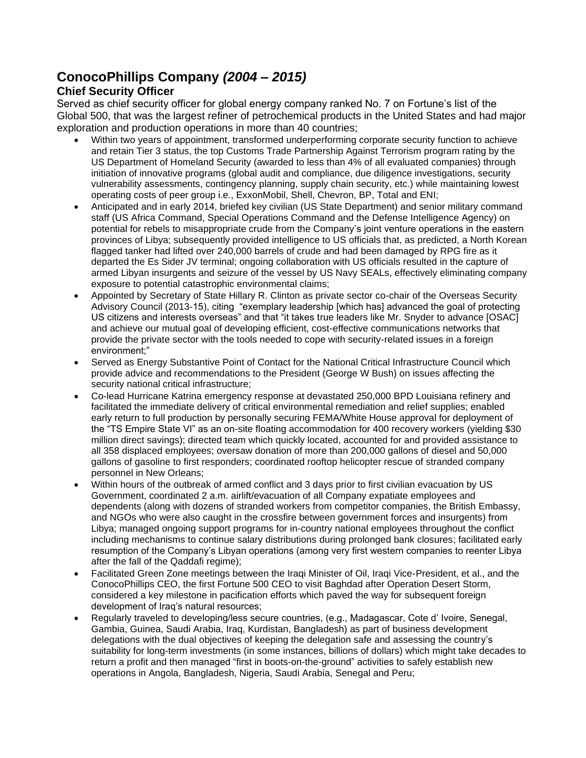## **ConocoPhillips Company** *(2004 – 2015)*

#### **Chief Security Officer**

Served as chief security officer for global energy company ranked No. 7 on Fortune's list of the Global 500, that was the largest refiner of petrochemical products in the United States and had major exploration and production operations in more than 40 countries;

- Within two years of appointment, transformed underperforming corporate security function to achieve and retain Tier 3 status, the top Customs Trade Partnership Against Terrorism program rating by the US Department of Homeland Security (awarded to less than 4% of all evaluated companies) through initiation of innovative programs (global audit and compliance, due diligence investigations, security vulnerability assessments, contingency planning, supply chain security, etc.) while maintaining lowest operating costs of peer group i.e., ExxonMobil, Shell, Chevron, BP, Total and ENI;
- Anticipated and in early 2014, briefed key civilian (US State Department) and senior military command staff (US Africa Command, Special Operations Command and the Defense Intelligence Agency) on potential for rebels to misappropriate crude from the Company's joint venture operations in the eastern provinces of Libya; subsequently provided intelligence to US officials that, as predicted, a North Korean flagged tanker had lifted over 240,000 barrels of crude and had been damaged by RPG fire as it departed the Es Sider JV terminal; ongoing collaboration with US officials resulted in the capture of armed Libyan insurgents and seizure of the vessel by US Navy SEALs, effectively eliminating company exposure to potential catastrophic environmental claims;
- Appointed by Secretary of State Hillary R. Clinton as private sector co-chair of the Overseas Security Advisory Council (2013-15), citing "exemplary leadership [which has] advanced the goal of protecting US citizens and interests overseas" and that "it takes true leaders like Mr. Snyder to advance [OSAC] and achieve our mutual goal of developing efficient, cost-effective communications networks that provide the private sector with the tools needed to cope with security-related issues in a foreign environment;"
- Served as Energy Substantive Point of Contact for the National Critical Infrastructure Council which provide advice and recommendations to the President (George W Bush) on issues affecting the security national critical infrastructure;
- Co-lead Hurricane Katrina emergency response at devastated 250,000 BPD Louisiana refinery and facilitated the immediate delivery of critical environmental remediation and relief supplies; enabled early return to full production by personally securing FEMA/White House approval for deployment of the "TS Empire State VI" as an on-site floating accommodation for 400 recovery workers (yielding \$30 million direct savings); directed team which quickly located, accounted for and provided assistance to all 358 displaced employees; oversaw donation of more than 200,000 gallons of diesel and 50,000 gallons of gasoline to first responders; coordinated rooftop helicopter rescue of stranded company personnel in New Orleans;
- Within hours of the outbreak of armed conflict and 3 days prior to first civilian evacuation by US Government, coordinated 2 a.m. airlift/evacuation of all Company expatiate employees and dependents (along with dozens of stranded workers from competitor companies, the British Embassy, and NGOs who were also caught in the crossfire between government forces and insurgents) from Libya; managed ongoing support programs for in-country national employees throughout the conflict including mechanisms to continue salary distributions during prolonged bank closures; facilitated early resumption of the Company's Libyan operations (among very first western companies to reenter Libya after the fall of the Qaddafi regime);
- Facilitated Green Zone meetings between the Iraqi Minister of Oil, Iraqi Vice-President, et al., and the ConocoPhillips CEO, the first Fortune 500 CEO to visit Baghdad after Operation Desert Storm, considered a key milestone in pacification efforts which paved the way for subsequent foreign development of Iraq's natural resources;
- Regularly traveled to developing/less secure countries, (e.g., Madagascar, Cote d' Ivoire, Senegal, Gambia, Guinea, Saudi Arabia, Iraq, Kurdistan, Bangladesh) as part of business development delegations with the dual objectives of keeping the delegation safe and assessing the country's suitability for long-term investments (in some instances, billions of dollars) which might take decades to return a profit and then managed "first in boots-on-the-ground" activities to safely establish new operations in Angola, Bangladesh, Nigeria, Saudi Arabia, Senegal and Peru;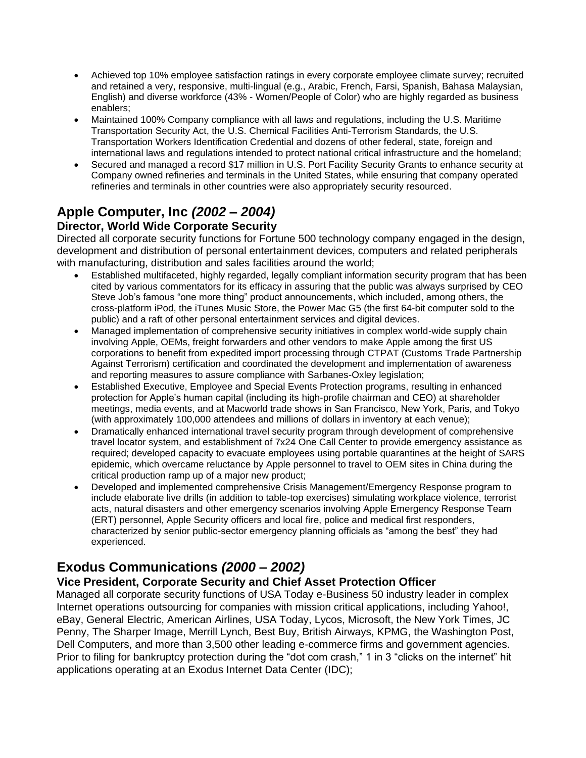- Achieved top 10% employee satisfaction ratings in every corporate employee climate survey; recruited and retained a very, responsive, multi-lingual (e.g., Arabic, French, Farsi, Spanish, Bahasa Malaysian, English) and diverse workforce (43% - Women/People of Color) who are highly regarded as business enablers;
- Maintained 100% Company compliance with all laws and regulations, including the U.S. Maritime Transportation Security Act, the U.S. Chemical Facilities Anti-Terrorism Standards, the U.S. Transportation Workers Identification Credential and dozens of other federal, state, foreign and international laws and regulations intended to protect national critical infrastructure and the homeland;
- Secured and managed a record \$17 million in U.S. Port Facility Security Grants to enhance security at Company owned refineries and terminals in the United States, while ensuring that company operated refineries and terminals in other countries were also appropriately security resourced.

# **Apple Computer, Inc** *(2002 – 2004)*

#### **Director, World Wide Corporate Security**

Directed all corporate security functions for Fortune 500 technology company engaged in the design, development and distribution of personal entertainment devices, computers and related peripherals with manufacturing, distribution and sales facilities around the world;

- Established multifaceted, highly regarded, legally compliant information security program that has been cited by various commentators for its efficacy in assuring that the public was always surprised by CEO Steve Job's famous "one more thing" product announcements, which included, among others, the cross-platform iPod, the iTunes Music Store, the Power Mac G5 (the first 64-bit computer sold to the public) and a raft of other personal entertainment services and digital devices.
- Managed implementation of comprehensive security initiatives in complex world-wide supply chain involving Apple, OEMs, freight forwarders and other vendors to make Apple among the first US corporations to benefit from expedited import processing through CTPAT (Customs Trade Partnership Against Terrorism) certification and coordinated the development and implementation of awareness and reporting measures to assure compliance with Sarbanes-Oxley legislation;
- Established Executive, Employee and Special Events Protection programs, resulting in enhanced protection for Apple's human capital (including its high-profile chairman and CEO) at shareholder meetings, media events, and at Macworld trade shows in San Francisco, New York, Paris, and Tokyo (with approximately 100,000 attendees and millions of dollars in inventory at each venue);
- Dramatically enhanced international travel security program through development of comprehensive travel locator system, and establishment of 7x24 One Call Center to provide emergency assistance as required; developed capacity to evacuate employees using portable quarantines at the height of SARS epidemic, which overcame reluctance by Apple personnel to travel to OEM sites in China during the critical production ramp up of a major new product;
- Developed and implemented comprehensive Crisis Management/Emergency Response program to include elaborate live drills (in addition to table-top exercises) simulating workplace violence, terrorist acts, natural disasters and other emergency scenarios involving Apple Emergency Response Team (ERT) personnel, Apple Security officers and local fire, police and medical first responders, characterized by senior public-sector emergency planning officials as "among the best" they had experienced.

# **Exodus Communications** *(2000 – 2002)*

#### **Vice President, Corporate Security and Chief Asset Protection Officer**

Managed all corporate security functions of USA Today e-Business 50 industry leader in complex Internet operations outsourcing for companies with mission critical applications, including Yahoo!, eBay, General Electric, American Airlines, USA Today, Lycos, Microsoft, the New York Times, JC Penny, The Sharper Image, Merrill Lynch, Best Buy, British Airways, KPMG, the Washington Post, Dell Computers, and more than 3,500 other leading e-commerce firms and government agencies. Prior to filing for bankruptcy protection during the "dot com crash," 1 in 3 "clicks on the internet" hit applications operating at an Exodus Internet Data Center (IDC);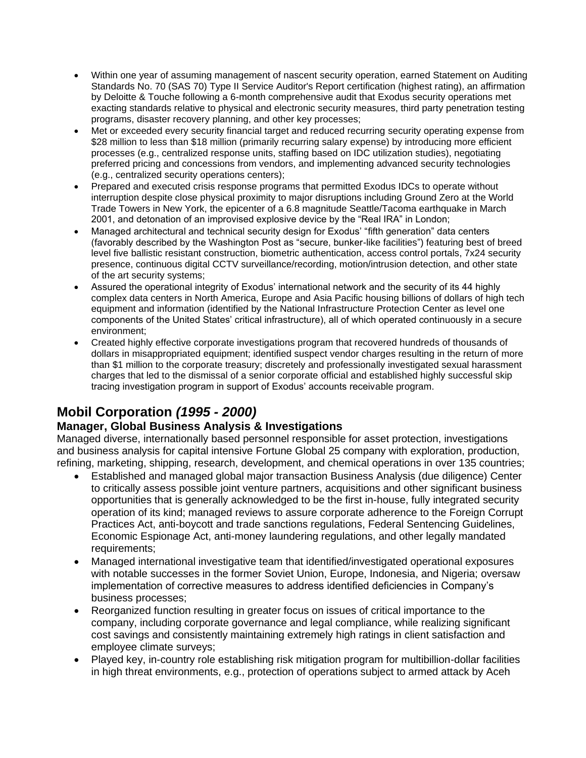- Within one year of assuming management of nascent security operation, earned Statement on Auditing Standards No. 70 (SAS 70) Type II Service Auditor's Report certification (highest rating), an affirmation by Deloitte & Touche following a 6-month comprehensive audit that Exodus security operations met exacting standards relative to physical and electronic security measures, third party penetration testing programs, disaster recovery planning, and other key processes;
- Met or exceeded every security financial target and reduced recurring security operating expense from \$28 million to less than \$18 million (primarily recurring salary expense) by introducing more efficient processes (e.g., centralized response units, staffing based on IDC utilization studies), negotiating preferred pricing and concessions from vendors, and implementing advanced security technologies (e.g., centralized security operations centers);
- Prepared and executed crisis response programs that permitted Exodus IDCs to operate without interruption despite close physical proximity to major disruptions including Ground Zero at the World Trade Towers in New York, the epicenter of a 6.8 magnitude Seattle/Tacoma earthquake in March 2001, and detonation of an improvised explosive device by the "Real IRA" in London;
- Managed architectural and technical security design for Exodus' "fifth generation" data centers (favorably described by the Washington Post as "secure, bunker-like facilities") featuring best of breed level five ballistic resistant construction, biometric authentication, access control portals, 7x24 security presence, continuous digital CCTV surveillance/recording, motion/intrusion detection, and other state of the art security systems;
- Assured the operational integrity of Exodus' international network and the security of its 44 highly complex data centers in North America, Europe and Asia Pacific housing billions of dollars of high tech equipment and information (identified by the National Infrastructure Protection Center as level one components of the United States' critical infrastructure), all of which operated continuously in a secure environment;
- Created highly effective corporate investigations program that recovered hundreds of thousands of dollars in misappropriated equipment; identified suspect vendor charges resulting in the return of more than \$1 million to the corporate treasury; discretely and professionally investigated sexual harassment charges that led to the dismissal of a senior corporate official and established highly successful skip tracing investigation program in support of Exodus' accounts receivable program.

# **Mobil Corporation** *(1995 - 2000)*

#### **Manager, Global Business Analysis & Investigations**

Managed diverse, internationally based personnel responsible for asset protection, investigations and business analysis for capital intensive Fortune Global 25 company with exploration, production, refining, marketing, shipping, research, development, and chemical operations in over 135 countries;

- Established and managed global major transaction Business Analysis (due diligence) Center to critically assess possible joint venture partners, acquisitions and other significant business opportunities that is generally acknowledged to be the first in-house, fully integrated security operation of its kind; managed reviews to assure corporate adherence to the Foreign Corrupt Practices Act, anti-boycott and trade sanctions regulations, Federal Sentencing Guidelines, Economic Espionage Act, anti-money laundering regulations, and other legally mandated requirements;
- Managed international investigative team that identified/investigated operational exposures with notable successes in the former Soviet Union, Europe, Indonesia, and Nigeria; oversaw implementation of corrective measures to address identified deficiencies in Company's business processes;
- Reorganized function resulting in greater focus on issues of critical importance to the company, including corporate governance and legal compliance, while realizing significant cost savings and consistently maintaining extremely high ratings in client satisfaction and employee climate surveys;
- Played key, in-country role establishing risk mitigation program for multibillion-dollar facilities in high threat environments, e.g., protection of operations subject to armed attack by Aceh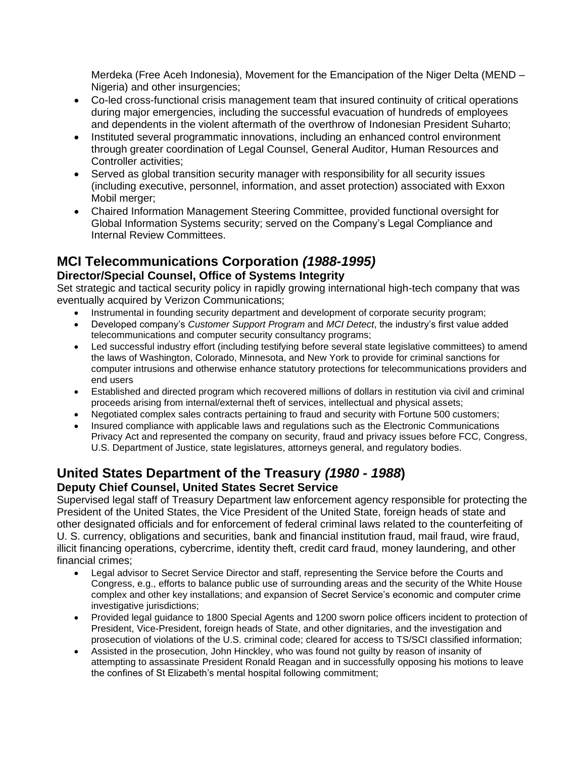Merdeka (Free Aceh Indonesia), Movement for the Emancipation of the Niger Delta (MEND – Nigeria) and other insurgencies;

- Co-led cross-functional crisis management team that insured continuity of critical operations during major emergencies, including the successful evacuation of hundreds of employees and dependents in the violent aftermath of the overthrow of Indonesian President Suharto;
- Instituted several programmatic innovations, including an enhanced control environment through greater coordination of Legal Counsel, General Auditor, Human Resources and Controller activities;
- Served as global transition security manager with responsibility for all security issues (including executive, personnel, information, and asset protection) associated with Exxon Mobil merger;
- Chaired Information Management Steering Committee, provided functional oversight for Global Information Systems security; served on the Company's Legal Compliance and Internal Review Committees.

# **MCI Telecommunications Corporation** *(1988-1995)*

#### **Director/Special Counsel, Office of Systems Integrity**

Set strategic and tactical security policy in rapidly growing international high-tech company that was eventually acquired by Verizon Communications;

- Instrumental in founding security department and development of corporate security program;
- Developed company's *Customer Support Program* and *MCI Detect*, the industry's first value added telecommunications and computer security consultancy programs;
- Led successful industry effort (including testifying before several state legislative committees) to amend the laws of Washington, Colorado, Minnesota, and New York to provide for criminal sanctions for computer intrusions and otherwise enhance statutory protections for telecommunications providers and end users
- Established and directed program which recovered millions of dollars in restitution via civil and criminal proceeds arising from internal/external theft of services, intellectual and physical assets;
- Negotiated complex sales contracts pertaining to fraud and security with Fortune 500 customers;
- Insured compliance with applicable laws and regulations such as the Electronic Communications Privacy Act and represented the company on security, fraud and privacy issues before FCC, Congress, U.S. Department of Justice, state legislatures, attorneys general, and regulatory bodies.

#### **United States Department of the Treasury** *(1980 - 1988***) Deputy Chief Counsel, United States Secret Service**

Supervised legal staff of Treasury Department law enforcement agency responsible for protecting the President of the United States, the Vice President of the United State, foreign heads of state and other designated officials and for enforcement of federal criminal laws related to the counterfeiting of U. S. currency, obligations and securities, bank and financial institution fraud, mail fraud, wire fraud, illicit financing operations, cybercrime, identity theft, credit card fraud, money laundering, and other financial crimes;

- Legal advisor to Secret Service Director and staff, representing the Service before the Courts and Congress, e.g., efforts to balance public use of surrounding areas and the security of the White House complex and other key installations; and expansion of Secret Service's economic and computer crime investigative jurisdictions;
- Provided legal guidance to 1800 Special Agents and 1200 sworn police officers incident to protection of President, Vice-President, foreign heads of State, and other dignitaries, and the investigation and prosecution of violations of the U.S. criminal code; cleared for access to TS/SCI classified information;
- Assisted in the prosecution, John Hinckley, who was found not guilty by reason of insanity of attempting to assassinate President Ronald Reagan and in successfully opposing his motions to leave the confines of St Elizabeth's mental hospital following commitment;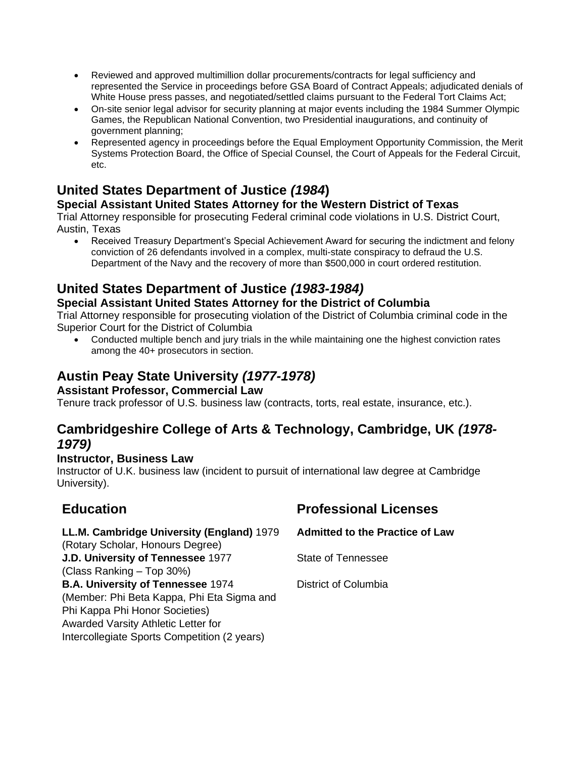- Reviewed and approved multimillion dollar procurements/contracts for legal sufficiency and represented the Service in proceedings before GSA Board of Contract Appeals; adjudicated denials of White House press passes, and negotiated/settled claims pursuant to the Federal Tort Claims Act;
- On-site senior legal advisor for security planning at major events including the 1984 Summer Olympic Games, the Republican National Convention, two Presidential inaugurations, and continuity of government planning;
- Represented agency in proceedings before the Equal Employment Opportunity Commission, the Merit Systems Protection Board, the Office of Special Counsel, the Court of Appeals for the Federal Circuit, etc.

# **United States Department of Justice** *(1984***)**

#### **Special Assistant United States Attorney for the Western District of Texas**

Trial Attorney responsible for prosecuting Federal criminal code violations in U.S. District Court, Austin, Texas

• Received Treasury Department's Special Achievement Award for securing the indictment and felony conviction of 26 defendants involved in a complex, multi-state conspiracy to defraud the U.S. Department of the Navy and the recovery of more than \$500,000 in court ordered restitution.

# **United States Department of Justice** *(1983-1984)*

#### **Special Assistant United States Attorney for the District of Columbia**

Trial Attorney responsible for prosecuting violation of the District of Columbia criminal code in the Superior Court for the District of Columbia

• Conducted multiple bench and jury trials in the while maintaining one the highest conviction rates among the 40+ prosecutors in section.

# **Austin Peay State University** *(1977-1978)*

#### **Assistant Professor, Commercial Law**

Tenure track professor of U.S. business law (contracts, torts, real estate, insurance, etc.).

### **Cambridgeshire College of Arts & Technology, Cambridge, UK** *(1978- 1979)*

#### **Instructor, Business Law**

Instructor of U.K. business law (incident to pursuit of international law degree at Cambridge University).

#### **LL.M. Cambridge University (England)** 1979

(Rotary Scholar, Honours Degree)

**J.D. University of Tennessee** 1977

(Class Ranking – Top 30%)

**B.A. University of Tennessee** 1974 (Member: Phi Beta Kappa, Phi Eta Sigma and

Phi Kappa Phi Honor Societies)

Awarded Varsity Athletic Letter for

Intercollegiate Sports Competition (2 years)

# **Education Professional Licenses**

**Admitted to the Practice of Law**

State of Tennessee

District of Columbia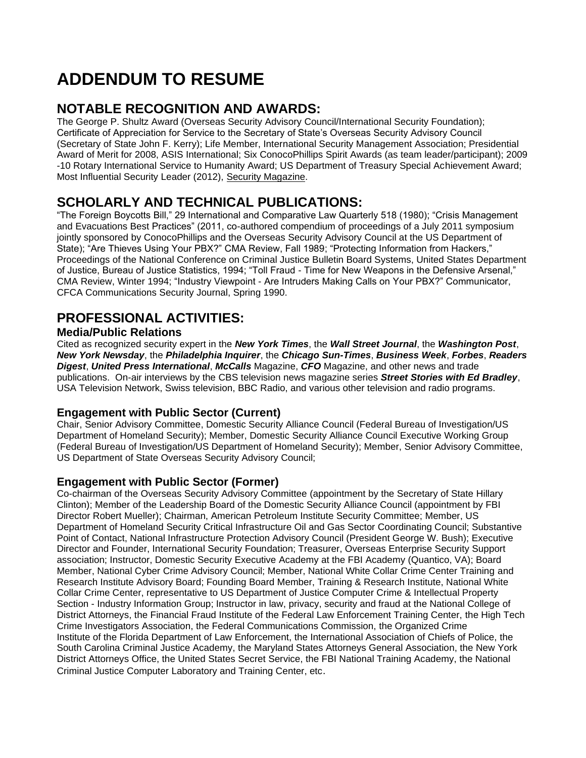# **ADDENDUM TO RESUME**

# **NOTABLE RECOGNITION AND AWARDS:**

The George P. Shultz Award (Overseas Security Advisory Council/International Security Foundation); Certificate of Appreciation for Service to the Secretary of State's Overseas Security Advisory Council (Secretary of State John F. Kerry); Life Member, International Security Management Association; Presidential Award of Merit for 2008, ASIS International; Six ConocoPhillips Spirit Awards (as team leader/participant); 2009 -10 Rotary International Service to Humanity Award; US Department of Treasury Special Achievement Award; Most Influential Security Leader (2012), Security Magazine.

# **SCHOLARLY AND TECHNICAL PUBLICATIONS:**

"The Foreign Boycotts Bill," 29 International and Comparative Law Quarterly 518 (1980); "Crisis Management and Evacuations Best Practices" (2011, co-authored compendium of proceedings of a July 2011 symposium jointly sponsored by ConocoPhillips and the Overseas Security Advisory Council at the US Department of State); "Are Thieves Using Your PBX?" CMA Review, Fall 1989; "Protecting Information from Hackers," Proceedings of the National Conference on Criminal Justice Bulletin Board Systems, United States Department of Justice, Bureau of Justice Statistics, 1994; "Toll Fraud - Time for New Weapons in the Defensive Arsenal," CMA Review, Winter 1994; "Industry Viewpoint - Are Intruders Making Calls on Your PBX?" Communicator, CFCA Communications Security Journal, Spring 1990.

# **PROFESSIONAL ACTIVITIES:**

#### **Media/Public Relations**

Cited as recognized security expert in the *New York Times*, the *Wall Street Journal*, the *Washington Post*, *New York Newsday*, the *Philadelphia Inquirer*, the *Chicago Sun-Times*, *Business Week*, *Forbes*, *Readers Digest*, *United Press International*, *McCalls* Magazine, *CFO* Magazine, and other news and trade publications. On-air interviews by the CBS television news magazine series *Street Stories with Ed Bradley*, USA Television Network, Swiss television, BBC Radio, and various other television and radio programs.

#### **Engagement with Public Sector (Current)**

Chair, Senior Advisory Committee, Domestic Security Alliance Council (Federal Bureau of Investigation/US Department of Homeland Security); Member, Domestic Security Alliance Council Executive Working Group (Federal Bureau of Investigation/US Department of Homeland Security); Member, Senior Advisory Committee, US Department of State Overseas Security Advisory Council;

#### **Engagement with Public Sector (Former)**

Co-chairman of the Overseas Security Advisory Committee (appointment by the Secretary of State Hillary Clinton); Member of the Leadership Board of the Domestic Security Alliance Council (appointment by FBI Director Robert Mueller); Chairman, American Petroleum Institute Security Committee; Member, US Department of Homeland Security Critical Infrastructure Oil and Gas Sector Coordinating Council; Substantive Point of Contact, National Infrastructure Protection Advisory Council (President George W. Bush); Executive Director and Founder, International Security Foundation; Treasurer, Overseas Enterprise Security Support association; Instructor, Domestic Security Executive Academy at the FBI Academy (Quantico, VA); Board Member, National Cyber Crime Advisory Council; Member, National White Collar Crime Center Training and Research Institute Advisory Board; Founding Board Member, Training & Research Institute, National White Collar Crime Center, representative to US Department of Justice Computer Crime & Intellectual Property Section - Industry Information Group; Instructor in law, privacy, security and fraud at the National College of District Attorneys, the Financial Fraud Institute of the Federal Law Enforcement Training Center, the High Tech Crime Investigators Association, the Federal Communications Commission, the Organized Crime Institute of the Florida Department of Law Enforcement, the International Association of Chiefs of Police, the South Carolina Criminal Justice Academy, the Maryland States Attorneys General Association, the New York District Attorneys Office, the United States Secret Service, the FBI National Training Academy, the National Criminal Justice Computer Laboratory and Training Center, etc.